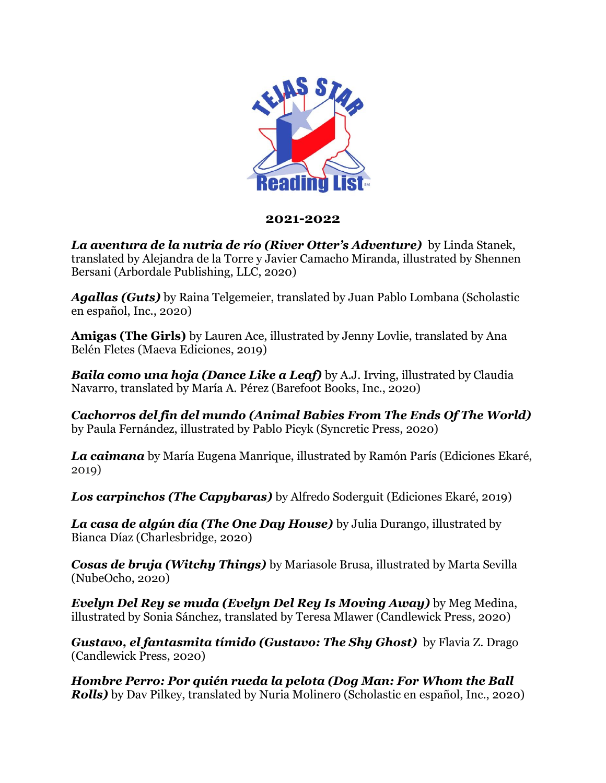

## **2021-2022**

*La aventura de la nutria de río (River Otter's Adventure)* by Linda Stanek, translated by Alejandra de la Torre y Javier Camacho Miranda, illustrated by Shennen Bersani (Arbordale Publishing, LLC, 2020)

*Agallas (Guts)* by Raina Telgemeier, translated by Juan Pablo Lombana (Scholastic en español, Inc., 2020)

**Amigas (The Girls)** by Lauren Ace, illustrated by Jenny Lovlie, translated by Ana Belén Fletes (Maeva Ediciones, 2019)

*Baila como una hoja (Dance Like a Leaf)* by A.J. Irving, illustrated by Claudia Navarro, translated by María A. Pérez (Barefoot Books, Inc., 2020)

*Cachorros del fin del mundo (Animal Babies From The Ends Of The World)*  by Paula Fernández, illustrated by Pablo Picyk (Syncretic Press, 2020)

*La caimana* by María Eugena Manrique, illustrated by Ramón París (Ediciones Ekaré, 2019)

*Los carpinchos (The Capybaras)* by Alfredo Soderguit (Ediciones Ekaré, 2019)

*La casa de algún día (The One Day House)* by Julia Durango, illustrated by Bianca Díaz (Charlesbridge, 2020)

*Cosas de bruja (Witchy Things)* by Mariasole Brusa, illustrated by Marta Sevilla (NubeOcho, 2020)

*Evelyn Del Rey se muda (Evelyn Del Rey Is Moving Away)* by Meg Medina, illustrated by Sonia Sánchez, translated by Teresa Mlawer (Candlewick Press, 2020)

*Gustavo, el fantasmita tímido (Gustavo: The Shy Ghost)* by Flavia Z. Drago (Candlewick Press, 2020)

*Hombre Perro: Por quién rueda la pelota (Dog Man: For Whom the Ball Rolls)* by Dav Pilkey, translated by Nuria Molinero (Scholastic en español, Inc., 2020)